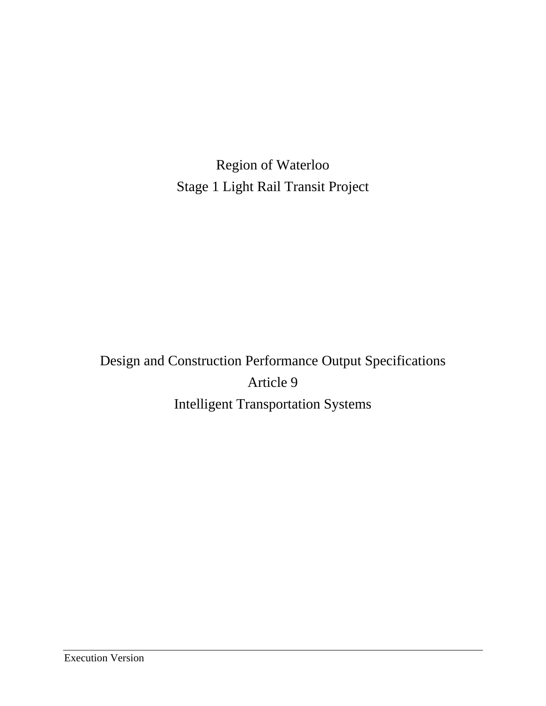Region of Waterloo Stage 1 Light Rail Transit Project

Design and Construction Performance Output Specifications Article 9 Intelligent Transportation Systems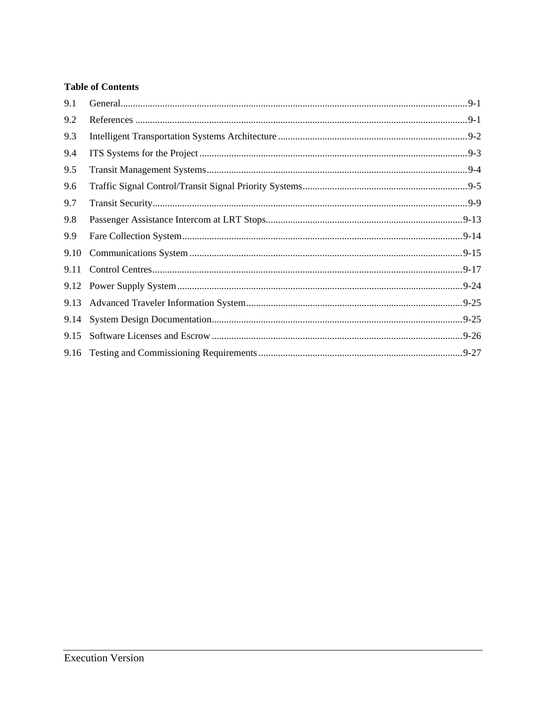# **Table of Contents**

| 9.1  |  |
|------|--|
| 9.2  |  |
| 9.3  |  |
| 9.4  |  |
| 9.5  |  |
| 9.6  |  |
| 9.7  |  |
| 9.8  |  |
| 9.9  |  |
| 9.10 |  |
| 9.11 |  |
| 9.12 |  |
| 9.13 |  |
| 9.14 |  |
| 9.15 |  |
|      |  |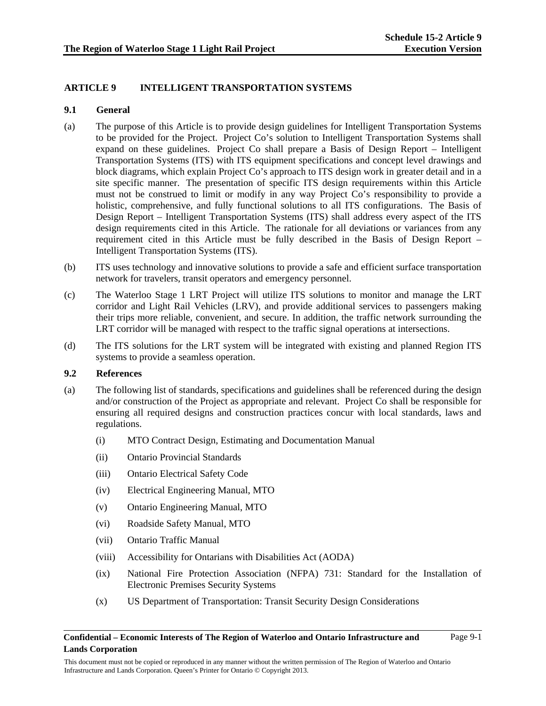# **ARTICLE 9 INTELLIGENT TRANSPORTATION SYSTEMS**

# **9.1 General**

- (a) The purpose of this Article is to provide design guidelines for Intelligent Transportation Systems to be provided for the Project. Project Co's solution to Intelligent Transportation Systems shall expand on these guidelines. Project Co shall prepare a Basis of Design Report – Intelligent Transportation Systems (ITS) with ITS equipment specifications and concept level drawings and block diagrams, which explain Project Co's approach to ITS design work in greater detail and in a site specific manner. The presentation of specific ITS design requirements within this Article must not be construed to limit or modify in any way Project Co's responsibility to provide a holistic, comprehensive, and fully functional solutions to all ITS configurations. The Basis of Design Report – Intelligent Transportation Systems (ITS) shall address every aspect of the ITS design requirements cited in this Article. The rationale for all deviations or variances from any requirement cited in this Article must be fully described in the Basis of Design Report – Intelligent Transportation Systems (ITS).
- (b) ITS uses technology and innovative solutions to provide a safe and efficient surface transportation network for travelers, transit operators and emergency personnel.
- (c) The Waterloo Stage 1 LRT Project will utilize ITS solutions to monitor and manage the LRT corridor and Light Rail Vehicles (LRV), and provide additional services to passengers making their trips more reliable, convenient, and secure. In addition, the traffic network surrounding the LRT corridor will be managed with respect to the traffic signal operations at intersections.
- (d) The ITS solutions for the LRT system will be integrated with existing and planned Region ITS systems to provide a seamless operation.

# **9.2 References**

- (a) The following list of standards, specifications and guidelines shall be referenced during the design and/or construction of the Project as appropriate and relevant. Project Co shall be responsible for ensuring all required designs and construction practices concur with local standards, laws and regulations.
	- (i) MTO Contract Design, Estimating and Documentation Manual
	- (ii) Ontario Provincial Standards
	- (iii) Ontario Electrical Safety Code
	- (iv) Electrical Engineering Manual, MTO
	- (v) Ontario Engineering Manual, MTO
	- (vi) Roadside Safety Manual, MTO
	- (vii) Ontario Traffic Manual
	- (viii) Accessibility for Ontarians with Disabilities Act (AODA)
	- (ix) National Fire Protection Association (NFPA) 731: Standard for the Installation of Electronic Premises Security Systems
	- (x) US Department of Transportation: Transit Security Design Considerations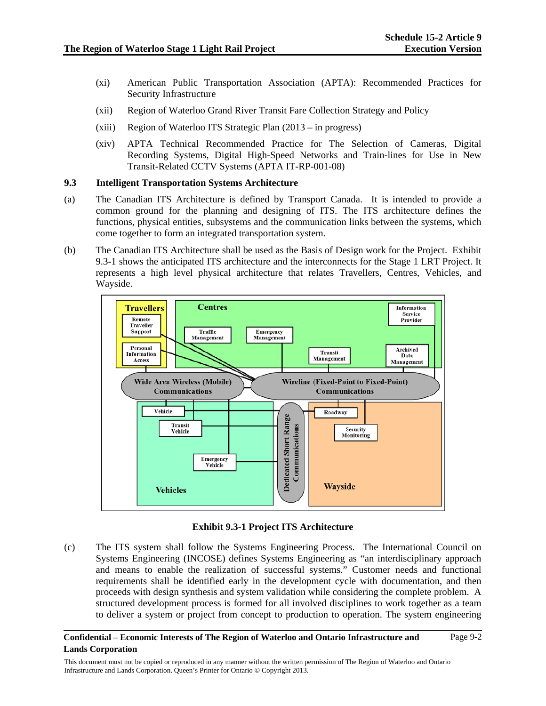- (xi) American Public Transportation Association (APTA): Recommended Practices for Security Infrastructure
- (xii) Region of Waterloo Grand River Transit Fare Collection Strategy and Policy
- (xiii) Region of Waterloo ITS Strategic Plan (2013 in progress)
- (xiv) APTA Technical Recommended Practice for The Selection of Cameras, Digital Recording Systems, Digital High-Speed Networks and Train-lines for Use in New Transit-Related CCTV Systems (APTA IT-RP-001-08)

### **9.3 Intelligent Transportation Systems Architecture**

- (a) The Canadian ITS Architecture is defined by Transport Canada. It is intended to provide a common ground for the planning and designing of ITS. The ITS architecture defines the functions, physical entities, subsystems and the communication links between the systems, which come together to form an integrated transportation system.
- (b) The Canadian ITS Architecture shall be used as the Basis of Design work for the Project. Exhibit 9.3-1 shows the anticipated ITS architecture and the interconnects for the Stage 1 LRT Project. It represents a high level physical architecture that relates Travellers, Centres, Vehicles, and Wayside.



# **Exhibit 9.3-1 Project ITS Architecture**

(c) The ITS system shall follow the Systems Engineering Process. The International Council on Systems Engineering (INCOSE) defines Systems Engineering as "an interdisciplinary approach and means to enable the realization of successful systems." Customer needs and functional requirements shall be identified early in the development cycle with documentation, and then proceeds with design synthesis and system validation while considering the complete problem. A structured development process is formed for all involved disciplines to work together as a team to deliver a system or project from concept to production to operation. The system engineering

### **Confidential – Economic Interests of The Region of Waterloo and Ontario Infrastructure and Lands Corporation**

This document must not be copied or reproduced in any manner without the written permission of The Region of Waterloo and Ontario Infrastructure and Lands Corporation. Queen's Printer for Ontario © Copyright 2013.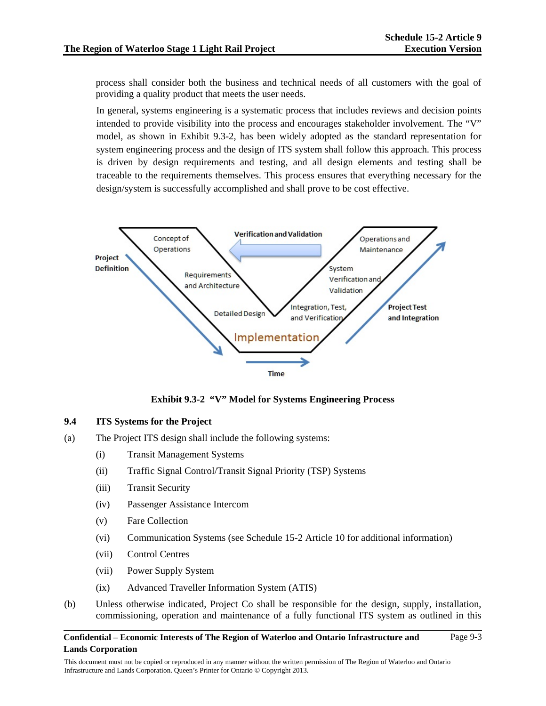process shall consider both the business and technical needs of all customers with the goal of providing a quality product that meets the user needs.

In general, systems engineering is a systematic process that includes reviews and decision points intended to provide visibility into the process and encourages stakeholder involvement. The "V" model, as shown in Exhibit 9.3-2, has been widely adopted as the standard representation for system engineering process and the design of ITS system shall follow this approach. This process is driven by design requirements and testing, and all design elements and testing shall be traceable to the requirements themselves. This process ensures that everything necessary for the design/system is successfully accomplished and shall prove to be cost effective.



**Exhibit 9.3-2 "V" Model for Systems Engineering Process**

# **9.4 ITS Systems for the Project**

- (a) The Project ITS design shall include the following systems:
	- (i) Transit Management Systems
	- (ii) Traffic Signal Control/Transit Signal Priority (TSP) Systems
	- (iii) Transit Security
	- (iv) Passenger Assistance Intercom
	- (v) Fare Collection
	- (vi) Communication Systems (see Schedule 15-2 Article 10 for additional information)
	- (vii) Control Centres
	- (vii) Power Supply System
	- (ix) Advanced Traveller Information System (ATIS)
- (b) Unless otherwise indicated, Project Co shall be responsible for the design, supply, installation, commissioning, operation and maintenance of a fully functional ITS system as outlined in this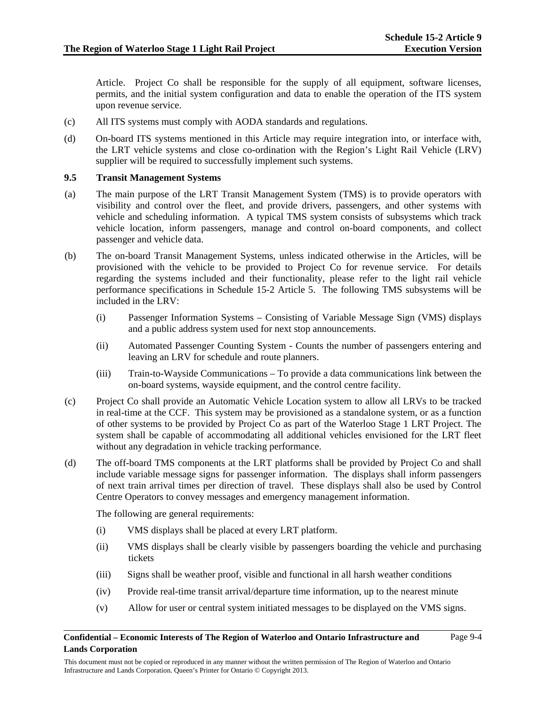Article. Project Co shall be responsible for the supply of all equipment, software licenses, permits, and the initial system configuration and data to enable the operation of the ITS system upon revenue service.

- (c) All ITS systems must comply with AODA standards and regulations.
- (d) On-board ITS systems mentioned in this Article may require integration into, or interface with, the LRT vehicle systems and close co-ordination with the Region's Light Rail Vehicle (LRV) supplier will be required to successfully implement such systems.

### **9.5 Transit Management Systems**

- (a) The main purpose of the LRT Transit Management System (TMS) is to provide operators with visibility and control over the fleet, and provide drivers, passengers, and other systems with vehicle and scheduling information. A typical TMS system consists of subsystems which track vehicle location, inform passengers, manage and control on-board components, and collect passenger and vehicle data.
- (b) The on-board Transit Management Systems, unless indicated otherwise in the Articles, will be provisioned with the vehicle to be provided to Project Co for revenue service. For details regarding the systems included and their functionality, please refer to the light rail vehicle performance specifications in Schedule 15-2 Article 5. The following TMS subsystems will be included in the LRV:
	- (i) Passenger Information Systems Consisting of Variable Message Sign (VMS) displays and a public address system used for next stop announcements.
	- (ii) Automated Passenger Counting System Counts the number of passengers entering and leaving an LRV for schedule and route planners.
	- (iii) Train-to-Wayside Communications To provide a data communications link between the on-board systems, wayside equipment, and the control centre facility.
- (c) Project Co shall provide an Automatic Vehicle Location system to allow all LRVs to be tracked in real-time at the CCF. This system may be provisioned as a standalone system, or as a function of other systems to be provided by Project Co as part of the Waterloo Stage 1 LRT Project. The system shall be capable of accommodating all additional vehicles envisioned for the LRT fleet without any degradation in vehicle tracking performance.
- (d) The off-board TMS components at the LRT platforms shall be provided by Project Co and shall include variable message signs for passenger information. The displays shall inform passengers of next train arrival times per direction of travel. These displays shall also be used by Control Centre Operators to convey messages and emergency management information.

The following are general requirements:

- (i) VMS displays shall be placed at every LRT platform.
- (ii) VMS displays shall be clearly visible by passengers boarding the vehicle and purchasing tickets
- (iii) Signs shall be weather proof, visible and functional in all harsh weather conditions
- (iv) Provide real-time transit arrival/departure time information, up to the nearest minute
- (v) Allow for user or central system initiated messages to be displayed on the VMS signs.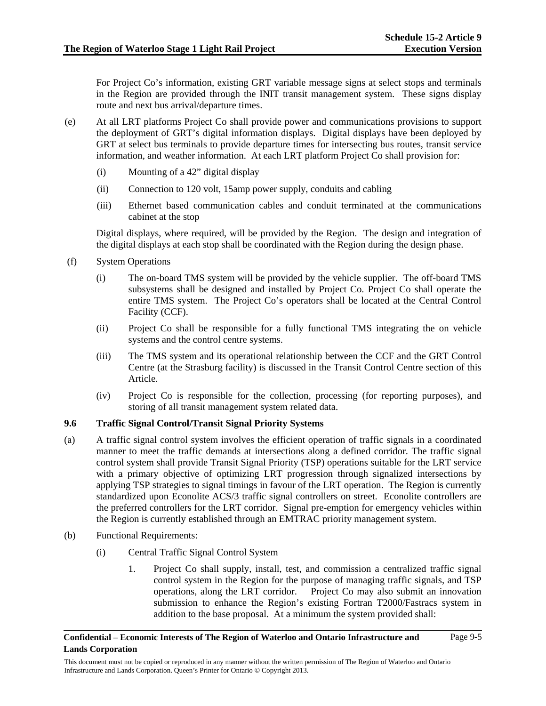For Project Co's information, existing GRT variable message signs at select stops and terminals in the Region are provided through the INIT transit management system. These signs display route and next bus arrival/departure times.

- (e) At all LRT platforms Project Co shall provide power and communications provisions to support the deployment of GRT's digital information displays. Digital displays have been deployed by GRT at select bus terminals to provide departure times for intersecting bus routes, transit service information, and weather information. At each LRT platform Project Co shall provision for:
	- (i) Mounting of a 42" digital display
	- (ii) Connection to 120 volt, 15amp power supply, conduits and cabling
	- (iii) Ethernet based communication cables and conduit terminated at the communications cabinet at the stop

 Digital displays, where required, will be provided by the Region. The design and integration of the digital displays at each stop shall be coordinated with the Region during the design phase.

- (f) System Operations
	- (i) The on-board TMS system will be provided by the vehicle supplier. The off-board TMS subsystems shall be designed and installed by Project Co. Project Co shall operate the entire TMS system. The Project Co's operators shall be located at the Central Control Facility (CCF).
	- (ii) Project Co shall be responsible for a fully functional TMS integrating the on vehicle systems and the control centre systems.
	- (iii) The TMS system and its operational relationship between the CCF and the GRT Control Centre (at the Strasburg facility) is discussed in the Transit Control Centre section of this Article.
	- (iv) Project Co is responsible for the collection, processing (for reporting purposes), and storing of all transit management system related data.

# **9.6 Traffic Signal Control/Transit Signal Priority Systems**

- (a) A traffic signal control system involves the efficient operation of traffic signals in a coordinated manner to meet the traffic demands at intersections along a defined corridor. The traffic signal control system shall provide Transit Signal Priority (TSP) operations suitable for the LRT service with a primary objective of optimizing LRT progression through signalized intersections by applying TSP strategies to signal timings in favour of the LRT operation. The Region is currently standardized upon Econolite ACS/3 traffic signal controllers on street. Econolite controllers are the preferred controllers for the LRT corridor. Signal pre-emption for emergency vehicles within the Region is currently established through an EMTRAC priority management system.
- (b) Functional Requirements:
	- (i) Central Traffic Signal Control System
		- 1. Project Co shall supply, install, test, and commission a centralized traffic signal control system in the Region for the purpose of managing traffic signals, and TSP operations, along the LRT corridor. Project Co may also submit an innovation submission to enhance the Region's existing Fortran T2000/Fastracs system in addition to the base proposal. At a minimum the system provided shall: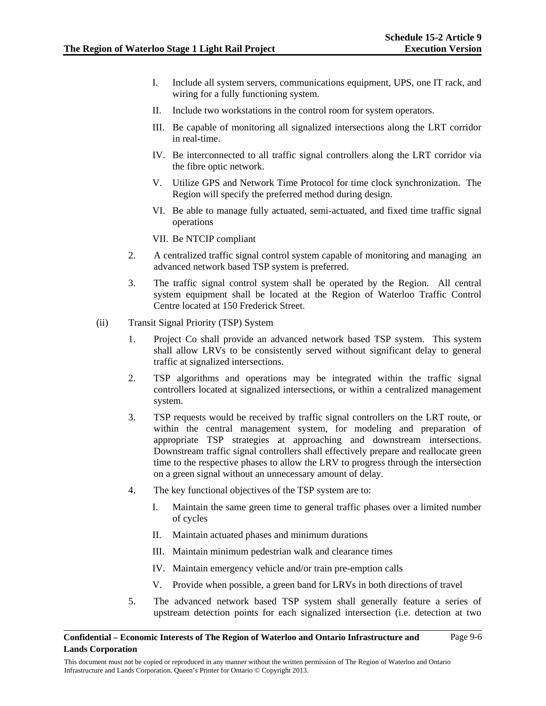- I. Include all system servers, communications equipment, UPS, one IT rack, and wiring for a fully functioning system.
- II. Include two workstations in the control room for system operators.
- III. Be capable of monitoring all signalized intersections along the LRT corridor in real-time.
- IV. Be interconnected to all traffic signal controllers along the LRT corridor via the fibre optic network.
- V. Utilize GPS and Network Time Protocol for time clock synchronization. The Region will specify the preferred method during design.
- VI. Be able to manage fully actuated, semi-actuated, and fixed time traffic signal operations

VII. Be NTCIP compliant

- 2. A centralized traffic signal control system capable of monitoring and managing an advanced network based TSP system is preferred.
- 3. The traffic signal control system shall be operated by the Region. All central system equipment shall be located at the Region of Waterloo Traffic Control Centre located at 150 Frederick Street.
- (ii) Transit Signal Priority (TSP) System
	- 1. Project Co shall provide an advanced network based TSP system. This system shall allow LRVs to be consistently served without significant delay to general traffic at signalized intersections.
	- 2. TSP algorithms and operations may be integrated within the traffic signal controllers located at signalized intersections, or within a centralized management system.
	- 3. TSP requests would be received by traffic signal controllers on the LRT route, or within the central management system, for modeling and preparation of appropriate TSP strategies at approaching and downstream intersections. Downstream traffic signal controllers shall effectively prepare and reallocate green time to the respective phases to allow the LRV to progress through the intersection on a green signal without an unnecessary amount of delay.
	- 4. The key functional objectives of the TSP system are to:
		- I. Maintain the same green time to general traffic phases over a limited number of cycles
		- II. Maintain actuated phases and minimum durations
		- III. Maintain minimum pedestrian walk and clearance times
		- IV. Maintain emergency vehicle and/or train pre-emption calls
		- V. Provide when possible, a green band for LRVs in both directions of travel
	- 5. The advanced network based TSP system shall generally feature a series of upstream detection points for each signalized intersection (i.e. detection at two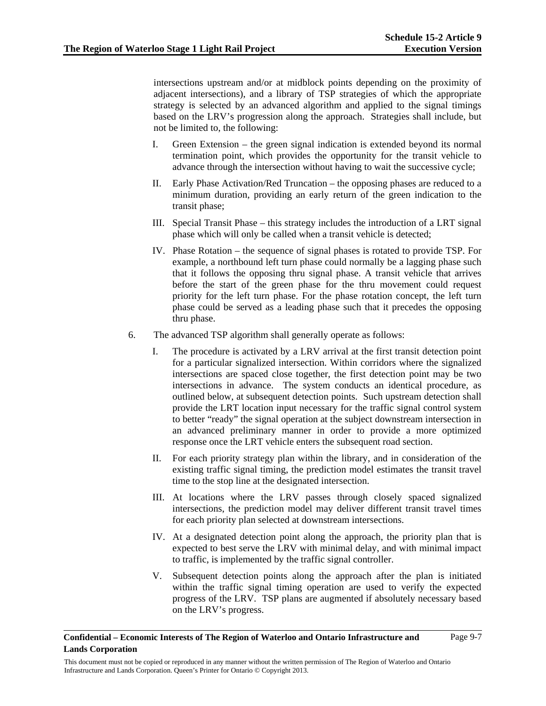intersections upstream and/or at midblock points depending on the proximity of adjacent intersections), and a library of TSP strategies of which the appropriate strategy is selected by an advanced algorithm and applied to the signal timings based on the LRV's progression along the approach. Strategies shall include, but not be limited to, the following:

- I. Green Extension the green signal indication is extended beyond its normal termination point, which provides the opportunity for the transit vehicle to advance through the intersection without having to wait the successive cycle;
- II. Early Phase Activation/Red Truncation the opposing phases are reduced to a minimum duration, providing an early return of the green indication to the transit phase;
- III. Special Transit Phase this strategy includes the introduction of a LRT signal phase which will only be called when a transit vehicle is detected;
- IV. Phase Rotation the sequence of signal phases is rotated to provide TSP. For example, a northbound left turn phase could normally be a lagging phase such that it follows the opposing thru signal phase. A transit vehicle that arrives before the start of the green phase for the thru movement could request priority for the left turn phase. For the phase rotation concept, the left turn phase could be served as a leading phase such that it precedes the opposing thru phase.
- 6. The advanced TSP algorithm shall generally operate as follows:
	- I. The procedure is activated by a LRV arrival at the first transit detection point for a particular signalized intersection. Within corridors where the signalized intersections are spaced close together, the first detection point may be two intersections in advance. The system conducts an identical procedure, as outlined below, at subsequent detection points. Such upstream detection shall provide the LRT location input necessary for the traffic signal control system to better "ready" the signal operation at the subject downstream intersection in an advanced preliminary manner in order to provide a more optimized response once the LRT vehicle enters the subsequent road section.
	- II. For each priority strategy plan within the library, and in consideration of the existing traffic signal timing, the prediction model estimates the transit travel time to the stop line at the designated intersection.
	- III. At locations where the LRV passes through closely spaced signalized intersections, the prediction model may deliver different transit travel times for each priority plan selected at downstream intersections.
	- IV. At a designated detection point along the approach, the priority plan that is expected to best serve the LRV with minimal delay, and with minimal impact to traffic, is implemented by the traffic signal controller.
	- V. Subsequent detection points along the approach after the plan is initiated within the traffic signal timing operation are used to verify the expected progress of the LRV. TSP plans are augmented if absolutely necessary based on the LRV's progress.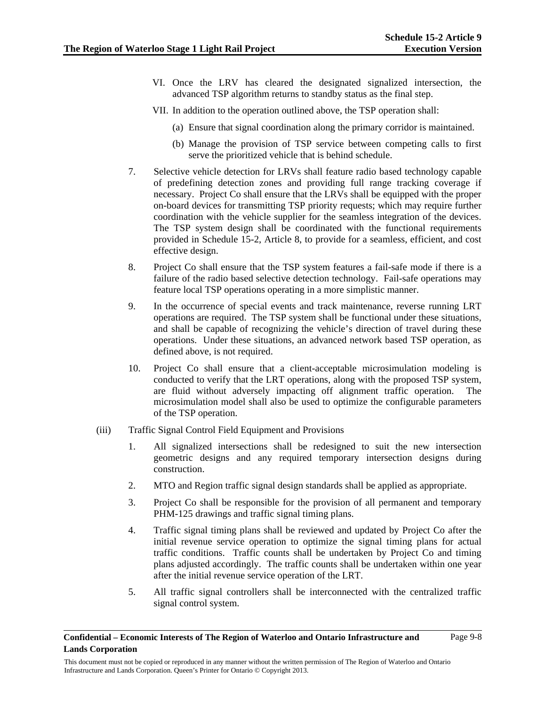Page 9-8

- VI. Once the LRV has cleared the designated signalized intersection, the advanced TSP algorithm returns to standby status as the final step.
- VII. In addition to the operation outlined above, the TSP operation shall:
	- (a) Ensure that signal coordination along the primary corridor is maintained.
	- (b) Manage the provision of TSP service between competing calls to first serve the prioritized vehicle that is behind schedule.
- 7. Selective vehicle detection for LRVs shall feature radio based technology capable of predefining detection zones and providing full range tracking coverage if necessary. Project Co shall ensure that the LRVs shall be equipped with the proper on-board devices for transmitting TSP priority requests; which may require further coordination with the vehicle supplier for the seamless integration of the devices. The TSP system design shall be coordinated with the functional requirements provided in Schedule 15-2, Article 8, to provide for a seamless, efficient, and cost effective design.
- 8. Project Co shall ensure that the TSP system features a fail-safe mode if there is a failure of the radio based selective detection technology. Fail-safe operations may feature local TSP operations operating in a more simplistic manner.
- 9. In the occurrence of special events and track maintenance, reverse running LRT operations are required. The TSP system shall be functional under these situations, and shall be capable of recognizing the vehicle's direction of travel during these operations. Under these situations, an advanced network based TSP operation, as defined above, is not required.
- 10. Project Co shall ensure that a client-acceptable microsimulation modeling is conducted to verify that the LRT operations, along with the proposed TSP system, are fluid without adversely impacting off alignment traffic operation. The microsimulation model shall also be used to optimize the configurable parameters of the TSP operation.
- (iii) Traffic Signal Control Field Equipment and Provisions
	- 1. All signalized intersections shall be redesigned to suit the new intersection geometric designs and any required temporary intersection designs during construction.
	- 2. MTO and Region traffic signal design standards shall be applied as appropriate.
	- 3. Project Co shall be responsible for the provision of all permanent and temporary PHM-125 drawings and traffic signal timing plans.
	- 4. Traffic signal timing plans shall be reviewed and updated by Project Co after the initial revenue service operation to optimize the signal timing plans for actual traffic conditions. Traffic counts shall be undertaken by Project Co and timing plans adjusted accordingly. The traffic counts shall be undertaken within one year after the initial revenue service operation of the LRT.
	- 5. All traffic signal controllers shall be interconnected with the centralized traffic signal control system.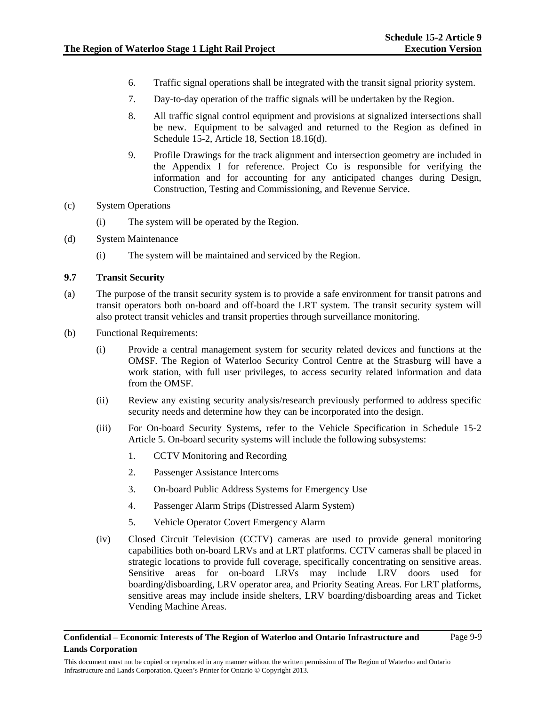Page 9-9

- 6. Traffic signal operations shall be integrated with the transit signal priority system.
- 7. Day-to-day operation of the traffic signals will be undertaken by the Region.
- 8. All traffic signal control equipment and provisions at signalized intersections shall be new. Equipment to be salvaged and returned to the Region as defined in Schedule 15-2, Article 18, Section 18.16(d).
- 9. Profile Drawings for the track alignment and intersection geometry are included in the Appendix I for reference. Project Co is responsible for verifying the information and for accounting for any anticipated changes during Design, Construction, Testing and Commissioning, and Revenue Service.

# (c) System Operations

- (i) The system will be operated by the Region.
- (d) System Maintenance
	- (i) The system will be maintained and serviced by the Region.

# **9.7 Transit Security**

- (a) The purpose of the transit security system is to provide a safe environment for transit patrons and transit operators both on-board and off-board the LRT system. The transit security system will also protect transit vehicles and transit properties through surveillance monitoring.
- (b) Functional Requirements:
	- (i) Provide a central management system for security related devices and functions at the OMSF. The Region of Waterloo Security Control Centre at the Strasburg will have a work station, with full user privileges, to access security related information and data from the OMSF.
	- (ii) Review any existing security analysis/research previously performed to address specific security needs and determine how they can be incorporated into the design.
	- (iii) For On-board Security Systems, refer to the Vehicle Specification in Schedule 15-2 Article 5. On-board security systems will include the following subsystems:
		- 1. CCTV Monitoring and Recording
		- 2. Passenger Assistance Intercoms
		- 3. On-board Public Address Systems for Emergency Use
		- 4. Passenger Alarm Strips (Distressed Alarm System)
		- 5. Vehicle Operator Covert Emergency Alarm
	- (iv) Closed Circuit Television (CCTV) cameras are used to provide general monitoring capabilities both on-board LRVs and at LRT platforms. CCTV cameras shall be placed in strategic locations to provide full coverage, specifically concentrating on sensitive areas. Sensitive areas for on-board LRVs may include LRV doors used for boarding/disboarding, LRV operator area, and Priority Seating Areas. For LRT platforms, sensitive areas may include inside shelters, LRV boarding/disboarding areas and Ticket Vending Machine Areas.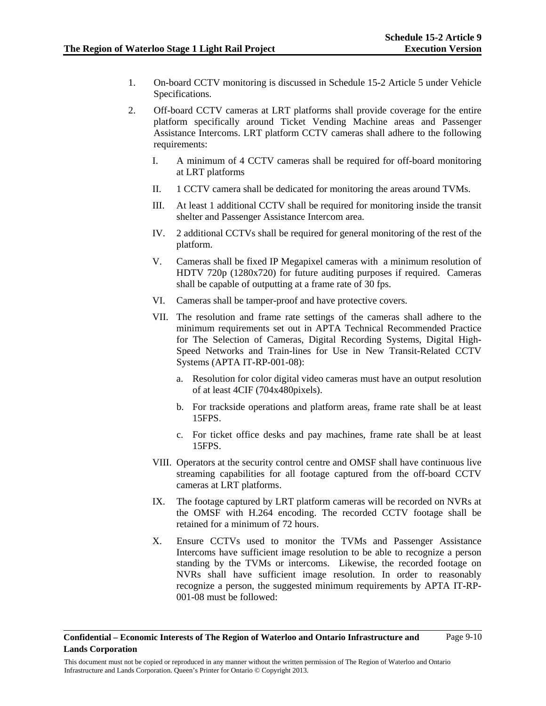- 1. On-board CCTV monitoring is discussed in Schedule 15-2 Article 5 under Vehicle Specifications.
- 2. Off-board CCTV cameras at LRT platforms shall provide coverage for the entire platform specifically around Ticket Vending Machine areas and Passenger Assistance Intercoms. LRT platform CCTV cameras shall adhere to the following requirements:
	- I. A minimum of 4 CCTV cameras shall be required for off-board monitoring at LRT platforms
	- II. 1 CCTV camera shall be dedicated for monitoring the areas around TVMs.
	- III. At least 1 additional CCTV shall be required for monitoring inside the transit shelter and Passenger Assistance Intercom area.
	- IV. 2 additional CCTVs shall be required for general monitoring of the rest of the platform.
	- V. Cameras shall be fixed IP Megapixel cameras with a minimum resolution of HDTV 720p (1280x720) for future auditing purposes if required. Cameras shall be capable of outputting at a frame rate of 30 fps.
	- VI. Cameras shall be tamper-proof and have protective covers.
	- VII. The resolution and frame rate settings of the cameras shall adhere to the minimum requirements set out in APTA Technical Recommended Practice for The Selection of Cameras, Digital Recording Systems, Digital High-Speed Networks and Train-lines for Use in New Transit-Related CCTV Systems (APTA IT-RP-001-08):
		- a. Resolution for color digital video cameras must have an output resolution of at least 4CIF (704x480pixels).
		- b. For trackside operations and platform areas, frame rate shall be at least 15FPS.
		- c. For ticket office desks and pay machines, frame rate shall be at least 15FPS.
	- VIII. Operators at the security control centre and OMSF shall have continuous live streaming capabilities for all footage captured from the off-board CCTV cameras at LRT platforms.
	- IX. The footage captured by LRT platform cameras will be recorded on NVRs at the OMSF with H.264 encoding. The recorded CCTV footage shall be retained for a minimum of 72 hours.
	- X. Ensure CCTVs used to monitor the TVMs and Passenger Assistance Intercoms have sufficient image resolution to be able to recognize a person standing by the TVMs or intercoms. Likewise, the recorded footage on NVRs shall have sufficient image resolution. In order to reasonably recognize a person, the suggested minimum requirements by APTA IT-RP-001-08 must be followed: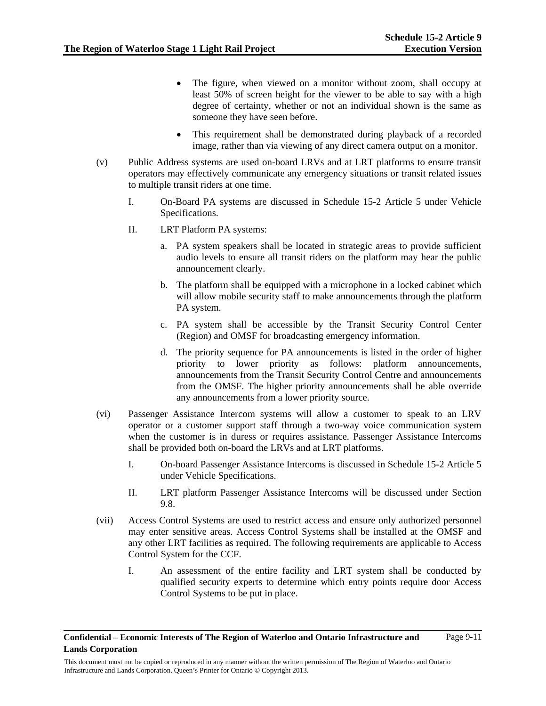- The figure, when viewed on a monitor without zoom, shall occupy at least 50% of screen height for the viewer to be able to say with a high degree of certainty, whether or not an individual shown is the same as someone they have seen before.
- This requirement shall be demonstrated during playback of a recorded image, rather than via viewing of any direct camera output on a monitor.
- (v) Public Address systems are used on-board LRVs and at LRT platforms to ensure transit operators may effectively communicate any emergency situations or transit related issues to multiple transit riders at one time.
	- I. On-Board PA systems are discussed in Schedule 15-2 Article 5 under Vehicle Specifications.
	- II. LRT Platform PA systems:
		- a. PA system speakers shall be located in strategic areas to provide sufficient audio levels to ensure all transit riders on the platform may hear the public announcement clearly.
		- b. The platform shall be equipped with a microphone in a locked cabinet which will allow mobile security staff to make announcements through the platform PA system.
		- c. PA system shall be accessible by the Transit Security Control Center (Region) and OMSF for broadcasting emergency information.
		- d. The priority sequence for PA announcements is listed in the order of higher priority to lower priority as follows: platform announcements, announcements from the Transit Security Control Centre and announcements from the OMSF. The higher priority announcements shall be able override any announcements from a lower priority source.
- (vi) Passenger Assistance Intercom systems will allow a customer to speak to an LRV operator or a customer support staff through a two-way voice communication system when the customer is in duress or requires assistance. Passenger Assistance Intercoms shall be provided both on-board the LRVs and at LRT platforms.
	- I. On-board Passenger Assistance Intercoms is discussed in Schedule 15-2 Article 5 under Vehicle Specifications.
	- II. LRT platform Passenger Assistance Intercoms will be discussed under Section 9.8.
- (vii) Access Control Systems are used to restrict access and ensure only authorized personnel may enter sensitive areas. Access Control Systems shall be installed at the OMSF and any other LRT facilities as required. The following requirements are applicable to Access Control System for the CCF.
	- I. An assessment of the entire facility and LRT system shall be conducted by qualified security experts to determine which entry points require door Access Control Systems to be put in place.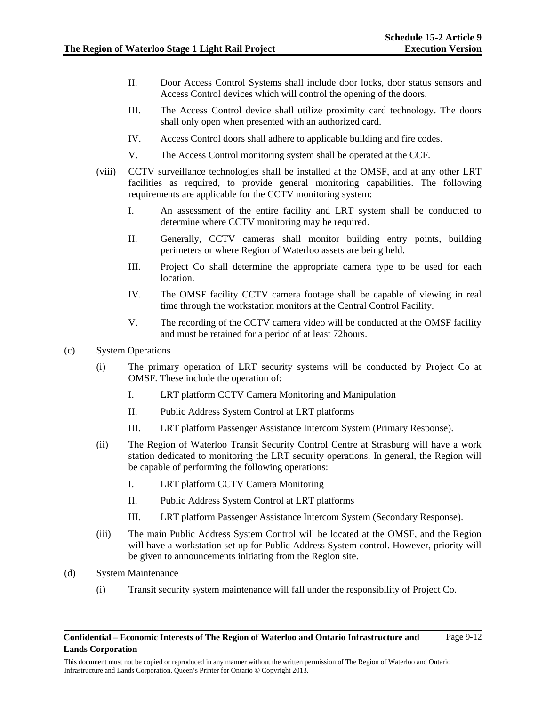- II. Door Access Control Systems shall include door locks, door status sensors and Access Control devices which will control the opening of the doors.
- III. The Access Control device shall utilize proximity card technology. The doors shall only open when presented with an authorized card.
- IV. Access Control doors shall adhere to applicable building and fire codes.
- V. The Access Control monitoring system shall be operated at the CCF.
- (viii) CCTV surveillance technologies shall be installed at the OMSF, and at any other LRT facilities as required, to provide general monitoring capabilities. The following requirements are applicable for the CCTV monitoring system:
	- I. An assessment of the entire facility and LRT system shall be conducted to determine where CCTV monitoring may be required.
	- II. Generally, CCTV cameras shall monitor building entry points, building perimeters or where Region of Waterloo assets are being held.
	- III. Project Co shall determine the appropriate camera type to be used for each location.
	- IV. The OMSF facility CCTV camera footage shall be capable of viewing in real time through the workstation monitors at the Central Control Facility.
	- V. The recording of the CCTV camera video will be conducted at the OMSF facility and must be retained for a period of at least 72hours.
- (c) System Operations
	- (i) The primary operation of LRT security systems will be conducted by Project Co at OMSF. These include the operation of:
		- I. LRT platform CCTV Camera Monitoring and Manipulation
		- II. Public Address System Control at LRT platforms
		- III. LRT platform Passenger Assistance Intercom System (Primary Response).
	- (ii) The Region of Waterloo Transit Security Control Centre at Strasburg will have a work station dedicated to monitoring the LRT security operations. In general, the Region will be capable of performing the following operations:
		- I. LRT platform CCTV Camera Monitoring
		- II. Public Address System Control at LRT platforms
		- III. LRT platform Passenger Assistance Intercom System (Secondary Response).
	- (iii) The main Public Address System Control will be located at the OMSF, and the Region will have a workstation set up for Public Address System control. However, priority will be given to announcements initiating from the Region site.
- (d) System Maintenance
	- (i) Transit security system maintenance will fall under the responsibility of Project Co.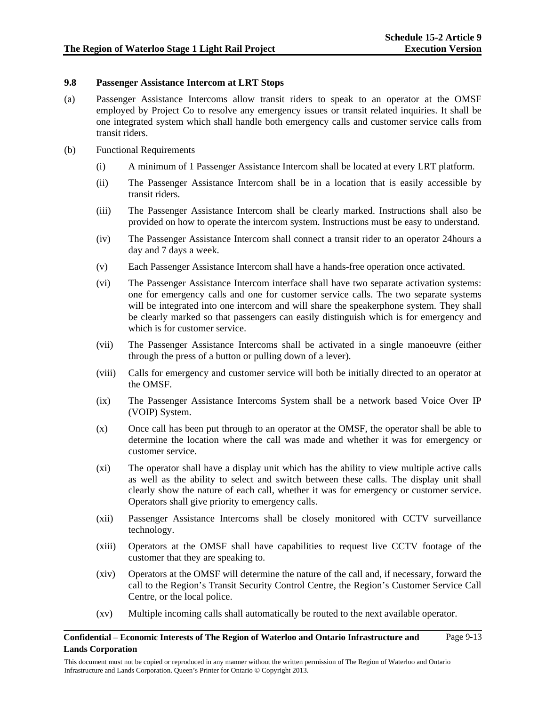# **9.8 Passenger Assistance Intercom at LRT Stops**

- (a) Passenger Assistance Intercoms allow transit riders to speak to an operator at the OMSF employed by Project Co to resolve any emergency issues or transit related inquiries. It shall be one integrated system which shall handle both emergency calls and customer service calls from transit riders.
- (b) Functional Requirements
	- (i) A minimum of 1 Passenger Assistance Intercom shall be located at every LRT platform.
	- (ii) The Passenger Assistance Intercom shall be in a location that is easily accessible by transit riders.
	- (iii) The Passenger Assistance Intercom shall be clearly marked. Instructions shall also be provided on how to operate the intercom system. Instructions must be easy to understand.
	- (iv) The Passenger Assistance Intercom shall connect a transit rider to an operator 24hours a day and 7 days a week.
	- (v) Each Passenger Assistance Intercom shall have a hands-free operation once activated.
	- (vi) The Passenger Assistance Intercom interface shall have two separate activation systems: one for emergency calls and one for customer service calls. The two separate systems will be integrated into one intercom and will share the speakerphone system. They shall be clearly marked so that passengers can easily distinguish which is for emergency and which is for customer service.
	- (vii) The Passenger Assistance Intercoms shall be activated in a single manoeuvre (either through the press of a button or pulling down of a lever).
	- (viii) Calls for emergency and customer service will both be initially directed to an operator at the OMSF.
	- (ix) The Passenger Assistance Intercoms System shall be a network based Voice Over IP (VOIP) System.
	- (x) Once call has been put through to an operator at the OMSF, the operator shall be able to determine the location where the call was made and whether it was for emergency or customer service.
	- (xi) The operator shall have a display unit which has the ability to view multiple active calls as well as the ability to select and switch between these calls. The display unit shall clearly show the nature of each call, whether it was for emergency or customer service. Operators shall give priority to emergency calls.
	- (xii) Passenger Assistance Intercoms shall be closely monitored with CCTV surveillance technology.
	- (xiii) Operators at the OMSF shall have capabilities to request live CCTV footage of the customer that they are speaking to.
	- (xiv) Operators at the OMSF will determine the nature of the call and, if necessary, forward the call to the Region's Transit Security Control Centre, the Region's Customer Service Call Centre, or the local police.
	- (xv) Multiple incoming calls shall automatically be routed to the next available operator.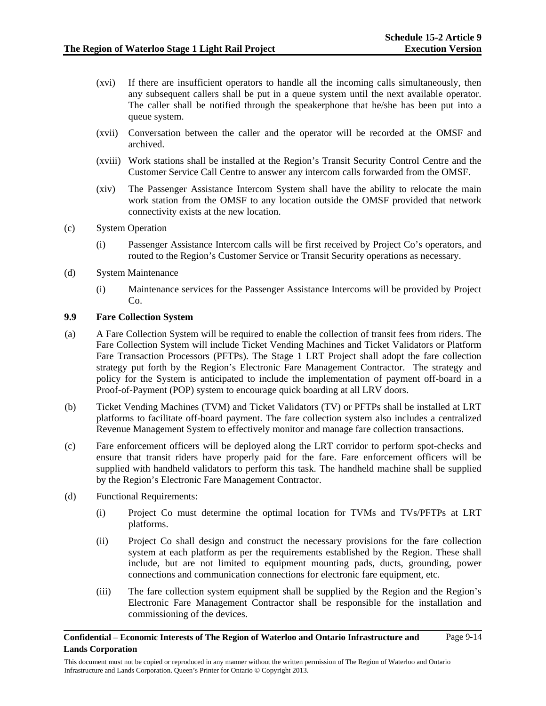- (xvi) If there are insufficient operators to handle all the incoming calls simultaneously, then any subsequent callers shall be put in a queue system until the next available operator. The caller shall be notified through the speakerphone that he/she has been put into a queue system.
- (xvii) Conversation between the caller and the operator will be recorded at the OMSF and archived.
- (xviii) Work stations shall be installed at the Region's Transit Security Control Centre and the Customer Service Call Centre to answer any intercom calls forwarded from the OMSF.
- (xiv) The Passenger Assistance Intercom System shall have the ability to relocate the main work station from the OMSF to any location outside the OMSF provided that network connectivity exists at the new location.
- (c) System Operation
	- (i) Passenger Assistance Intercom calls will be first received by Project Co's operators, and routed to the Region's Customer Service or Transit Security operations as necessary.
- (d) System Maintenance
	- (i) Maintenance services for the Passenger Assistance Intercoms will be provided by Project  $Co.$

### **9.9 Fare Collection System**

- (a) A Fare Collection System will be required to enable the collection of transit fees from riders. The Fare Collection System will include Ticket Vending Machines and Ticket Validators or Platform Fare Transaction Processors (PFTPs). The Stage 1 LRT Project shall adopt the fare collection strategy put forth by the Region's Electronic Fare Management Contractor. The strategy and policy for the System is anticipated to include the implementation of payment off-board in a Proof-of-Payment (POP) system to encourage quick boarding at all LRV doors.
- (b) Ticket Vending Machines (TVM) and Ticket Validators (TV) or PFTPs shall be installed at LRT platforms to facilitate off-board payment. The fare collection system also includes a centralized Revenue Management System to effectively monitor and manage fare collection transactions.
- (c) Fare enforcement officers will be deployed along the LRT corridor to perform spot-checks and ensure that transit riders have properly paid for the fare. Fare enforcement officers will be supplied with handheld validators to perform this task. The handheld machine shall be supplied by the Region's Electronic Fare Management Contractor.
- (d) Functional Requirements:
	- (i) Project Co must determine the optimal location for TVMs and TVs/PFTPs at LRT platforms.
	- (ii) Project Co shall design and construct the necessary provisions for the fare collection system at each platform as per the requirements established by the Region. These shall include, but are not limited to equipment mounting pads, ducts, grounding, power connections and communication connections for electronic fare equipment, etc.
	- (iii) The fare collection system equipment shall be supplied by the Region and the Region's Electronic Fare Management Contractor shall be responsible for the installation and commissioning of the devices.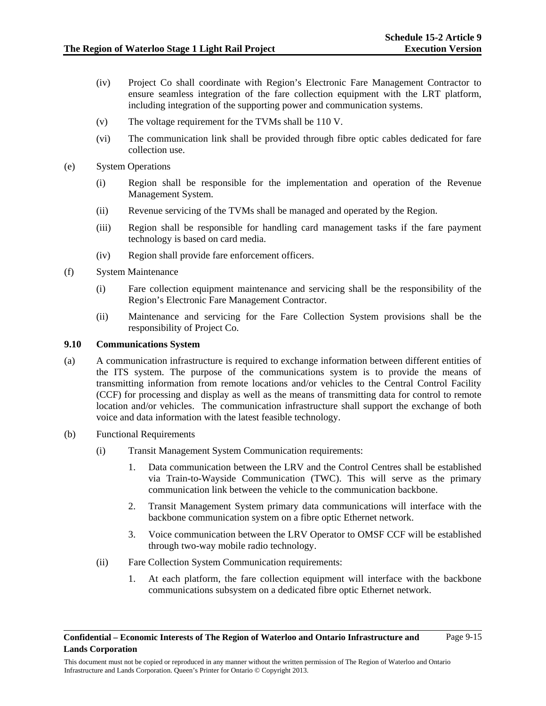- (iv) Project Co shall coordinate with Region's Electronic Fare Management Contractor to ensure seamless integration of the fare collection equipment with the LRT platform, including integration of the supporting power and communication systems.
- (v) The voltage requirement for the TVMs shall be 110 V.
- (vi) The communication link shall be provided through fibre optic cables dedicated for fare collection use.
- (e) System Operations
	- (i) Region shall be responsible for the implementation and operation of the Revenue Management System.
	- (ii) Revenue servicing of the TVMs shall be managed and operated by the Region.
	- (iii) Region shall be responsible for handling card management tasks if the fare payment technology is based on card media.
	- (iv) Region shall provide fare enforcement officers.
- (f) System Maintenance
	- (i) Fare collection equipment maintenance and servicing shall be the responsibility of the Region's Electronic Fare Management Contractor.
	- (ii) Maintenance and servicing for the Fare Collection System provisions shall be the responsibility of Project Co.

### **9.10 Communications System**

- (a) A communication infrastructure is required to exchange information between different entities of the ITS system. The purpose of the communications system is to provide the means of transmitting information from remote locations and/or vehicles to the Central Control Facility (CCF) for processing and display as well as the means of transmitting data for control to remote location and/or vehicles. The communication infrastructure shall support the exchange of both voice and data information with the latest feasible technology.
- (b) Functional Requirements
	- (i) Transit Management System Communication requirements:
		- 1. Data communication between the LRV and the Control Centres shall be established via Train-to-Wayside Communication (TWC). This will serve as the primary communication link between the vehicle to the communication backbone.
		- 2. Transit Management System primary data communications will interface with the backbone communication system on a fibre optic Ethernet network.
		- 3. Voice communication between the LRV Operator to OMSF CCF will be established through two-way mobile radio technology.
	- (ii) Fare Collection System Communication requirements:
		- 1. At each platform, the fare collection equipment will interface with the backbone communications subsystem on a dedicated fibre optic Ethernet network.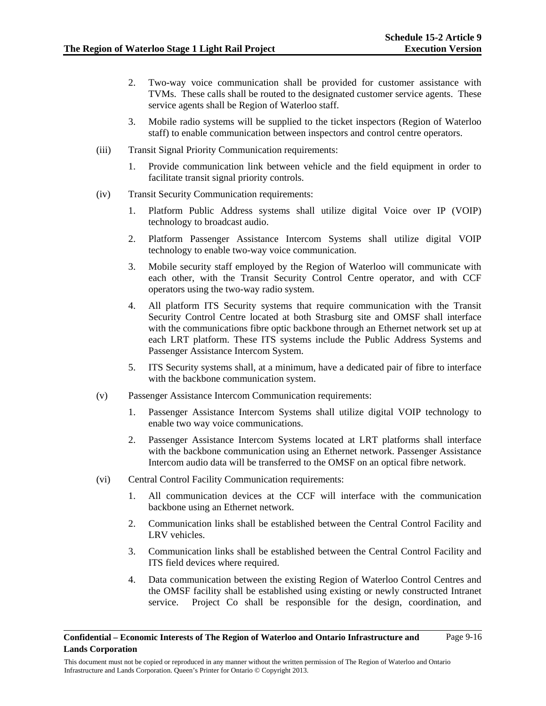- 2. Two-way voice communication shall be provided for customer assistance with TVMs. These calls shall be routed to the designated customer service agents. These service agents shall be Region of Waterloo staff.
- 3. Mobile radio systems will be supplied to the ticket inspectors (Region of Waterloo staff) to enable communication between inspectors and control centre operators.
- (iii) Transit Signal Priority Communication requirements:
	- 1. Provide communication link between vehicle and the field equipment in order to facilitate transit signal priority controls.
- (iv) Transit Security Communication requirements:
	- 1. Platform Public Address systems shall utilize digital Voice over IP (VOIP) technology to broadcast audio.
	- 2. Platform Passenger Assistance Intercom Systems shall utilize digital VOIP technology to enable two-way voice communication.
	- 3. Mobile security staff employed by the Region of Waterloo will communicate with each other, with the Transit Security Control Centre operator, and with CCF operators using the two-way radio system.
	- 4. All platform ITS Security systems that require communication with the Transit Security Control Centre located at both Strasburg site and OMSF shall interface with the communications fibre optic backbone through an Ethernet network set up at each LRT platform. These ITS systems include the Public Address Systems and Passenger Assistance Intercom System.
	- 5. ITS Security systems shall, at a minimum, have a dedicated pair of fibre to interface with the backbone communication system.
- (v) Passenger Assistance Intercom Communication requirements:
	- 1. Passenger Assistance Intercom Systems shall utilize digital VOIP technology to enable two way voice communications.
	- 2. Passenger Assistance Intercom Systems located at LRT platforms shall interface with the backbone communication using an Ethernet network. Passenger Assistance Intercom audio data will be transferred to the OMSF on an optical fibre network.
- (vi) Central Control Facility Communication requirements:
	- 1. All communication devices at the CCF will interface with the communication backbone using an Ethernet network.
	- 2. Communication links shall be established between the Central Control Facility and LRV vehicles.
	- 3. Communication links shall be established between the Central Control Facility and ITS field devices where required.
	- 4. Data communication between the existing Region of Waterloo Control Centres and the OMSF facility shall be established using existing or newly constructed Intranet service. Project Co shall be responsible for the design, coordination, and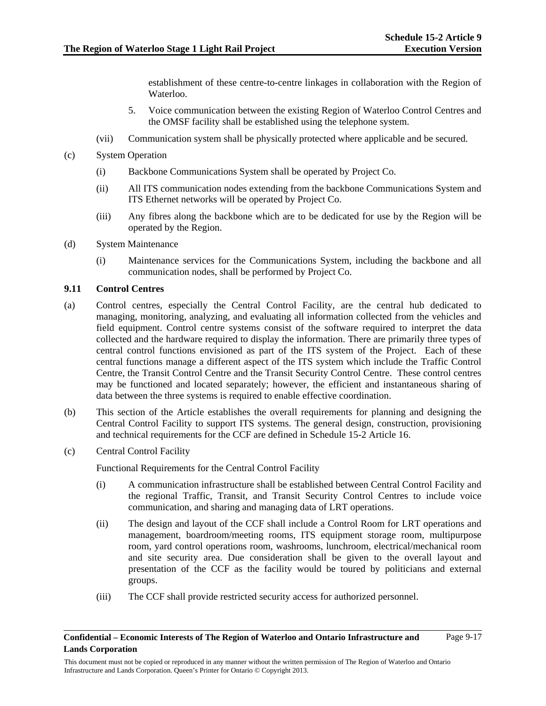establishment of these centre-to-centre linkages in collaboration with the Region of Waterloo.

- 5. Voice communication between the existing Region of Waterloo Control Centres and the OMSF facility shall be established using the telephone system.
- (vii) Communication system shall be physically protected where applicable and be secured.
- (c) System Operation
	- (i) Backbone Communications System shall be operated by Project Co.
	- (ii) All ITS communication nodes extending from the backbone Communications System and ITS Ethernet networks will be operated by Project Co.
	- (iii) Any fibres along the backbone which are to be dedicated for use by the Region will be operated by the Region.
- (d) System Maintenance
	- (i) Maintenance services for the Communications System, including the backbone and all communication nodes, shall be performed by Project Co.

### **9.11 Control Centres**

- (a) Control centres, especially the Central Control Facility, are the central hub dedicated to managing, monitoring, analyzing, and evaluating all information collected from the vehicles and field equipment. Control centre systems consist of the software required to interpret the data collected and the hardware required to display the information. There are primarily three types of central control functions envisioned as part of the ITS system of the Project. Each of these central functions manage a different aspect of the ITS system which include the Traffic Control Centre, the Transit Control Centre and the Transit Security Control Centre. These control centres may be functioned and located separately; however, the efficient and instantaneous sharing of data between the three systems is required to enable effective coordination.
- (b) This section of the Article establishes the overall requirements for planning and designing the Central Control Facility to support ITS systems. The general design, construction, provisioning and technical requirements for the CCF are defined in Schedule 15-2 Article 16.
- (c) Central Control Facility

Functional Requirements for the Central Control Facility

- (i) A communication infrastructure shall be established between Central Control Facility and the regional Traffic, Transit, and Transit Security Control Centres to include voice communication, and sharing and managing data of LRT operations.
- (ii) The design and layout of the CCF shall include a Control Room for LRT operations and management, boardroom/meeting rooms, ITS equipment storage room, multipurpose room, yard control operations room, washrooms, lunchroom, electrical/mechanical room and site security area. Due consideration shall be given to the overall layout and presentation of the CCF as the facility would be toured by politicians and external groups.
- (iii) The CCF shall provide restricted security access for authorized personnel.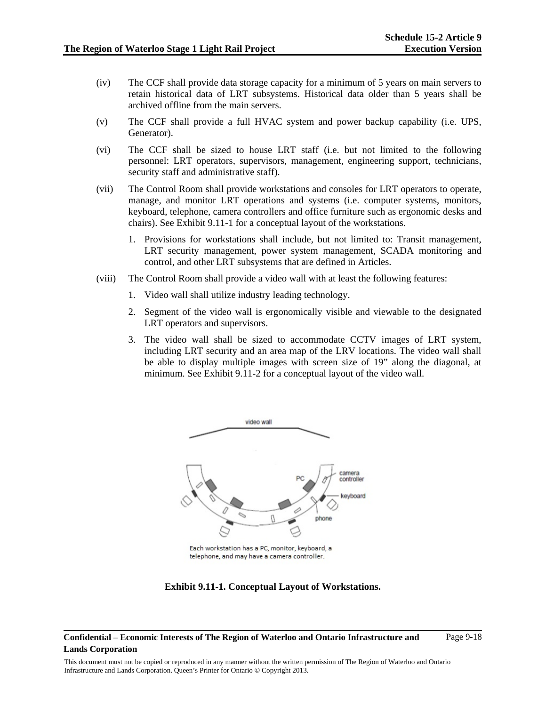- (iv) The CCF shall provide data storage capacity for a minimum of 5 years on main servers to retain historical data of LRT subsystems. Historical data older than 5 years shall be archived offline from the main servers.
- (v) The CCF shall provide a full HVAC system and power backup capability (i.e. UPS, Generator).
- (vi) The CCF shall be sized to house LRT staff (i.e. but not limited to the following personnel: LRT operators, supervisors, management, engineering support, technicians, security staff and administrative staff).
- (vii) The Control Room shall provide workstations and consoles for LRT operators to operate, manage, and monitor LRT operations and systems (i.e. computer systems, monitors, keyboard, telephone, camera controllers and office furniture such as ergonomic desks and chairs). See Exhibit 9.11-1 for a conceptual layout of the workstations.
	- 1. Provisions for workstations shall include, but not limited to: Transit management, LRT security management, power system management, SCADA monitoring and control, and other LRT subsystems that are defined in Articles.
- (viii) The Control Room shall provide a video wall with at least the following features:
	- 1. Video wall shall utilize industry leading technology.
	- 2. Segment of the video wall is ergonomically visible and viewable to the designated LRT operators and supervisors.
	- 3. The video wall shall be sized to accommodate CCTV images of LRT system, including LRT security and an area map of the LRV locations. The video wall shall be able to display multiple images with screen size of 19" along the diagonal, at minimum. See Exhibit 9.11-2 for a conceptual layout of the video wall.



**Exhibit 9.11-1. Conceptual Layout of Workstations.**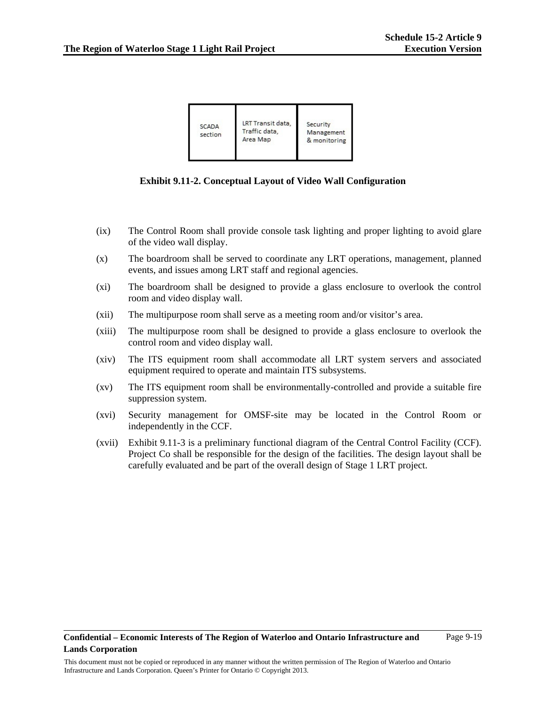| <b>SCADA</b><br>section | LRT Transit data,<br>Traffic data.<br>Area Map | Security<br>Management<br>& monitoring |
|-------------------------|------------------------------------------------|----------------------------------------|
|-------------------------|------------------------------------------------|----------------------------------------|

**Exhibit 9.11-2. Conceptual Layout of Video Wall Configuration** 

- (ix) The Control Room shall provide console task lighting and proper lighting to avoid glare of the video wall display.
- (x) The boardroom shall be served to coordinate any LRT operations, management, planned events, and issues among LRT staff and regional agencies.
- (xi) The boardroom shall be designed to provide a glass enclosure to overlook the control room and video display wall.
- (xii) The multipurpose room shall serve as a meeting room and/or visitor's area.
- (xiii) The multipurpose room shall be designed to provide a glass enclosure to overlook the control room and video display wall.
- (xiv) The ITS equipment room shall accommodate all LRT system servers and associated equipment required to operate and maintain ITS subsystems.
- (xv) The ITS equipment room shall be environmentally-controlled and provide a suitable fire suppression system.
- (xvi) Security management for OMSF-site may be located in the Control Room or independently in the CCF.
- (xvii) Exhibit 9.11-3 is a preliminary functional diagram of the Central Control Facility (CCF). Project Co shall be responsible for the design of the facilities. The design layout shall be carefully evaluated and be part of the overall design of Stage 1 LRT project.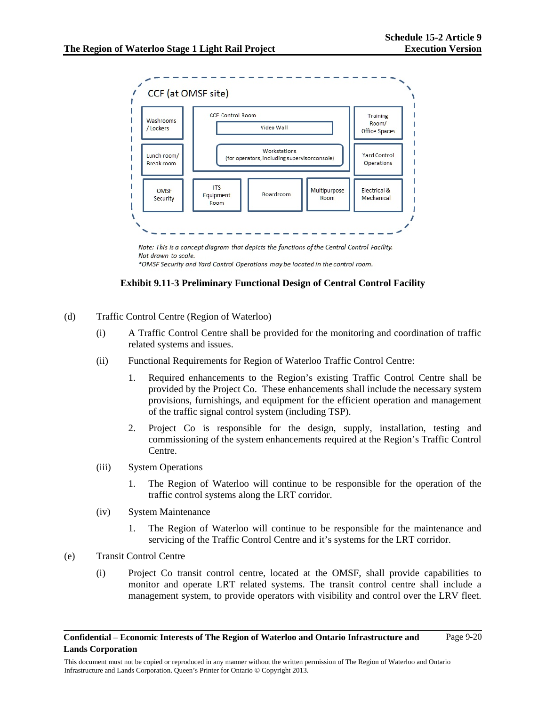

Not drawn to scale. \*OMSF Security and Yard Control Operations may be located in the control room.

# **Exhibit 9.11-3 Preliminary Functional Design of Central Control Facility**

- (d) Traffic Control Centre (Region of Waterloo)
	- (i) A Traffic Control Centre shall be provided for the monitoring and coordination of traffic related systems and issues.
	- (ii) Functional Requirements for Region of Waterloo Traffic Control Centre:
		- 1. Required enhancements to the Region's existing Traffic Control Centre shall be provided by the Project Co. These enhancements shall include the necessary system provisions, furnishings, and equipment for the efficient operation and management of the traffic signal control system (including TSP).
		- 2. Project Co is responsible for the design, supply, installation, testing and commissioning of the system enhancements required at the Region's Traffic Control Centre.
	- (iii) System Operations
		- 1. The Region of Waterloo will continue to be responsible for the operation of the traffic control systems along the LRT corridor.
	- (iv) System Maintenance
		- 1. The Region of Waterloo will continue to be responsible for the maintenance and servicing of the Traffic Control Centre and it's systems for the LRT corridor.
- (e) Transit Control Centre
	- (i) Project Co transit control centre, located at the OMSF, shall provide capabilities to monitor and operate LRT related systems. The transit control centre shall include a management system, to provide operators with visibility and control over the LRV fleet.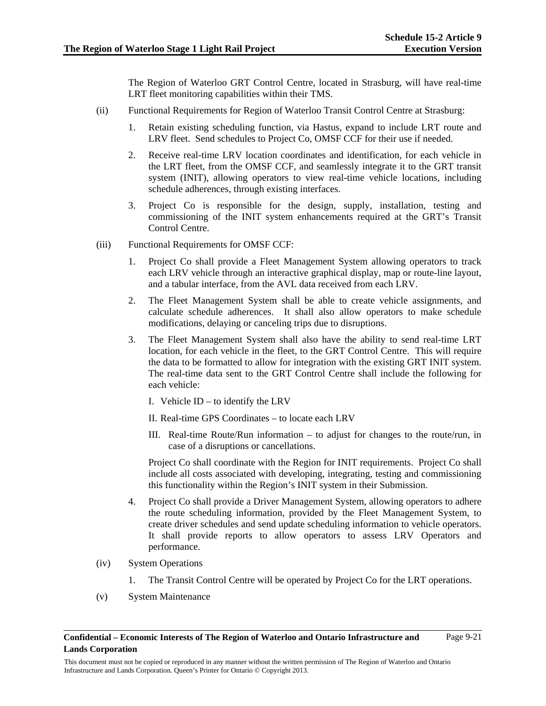The Region of Waterloo GRT Control Centre, located in Strasburg, will have real-time LRT fleet monitoring capabilities within their TMS.

- (ii) Functional Requirements for Region of Waterloo Transit Control Centre at Strasburg:
	- 1. Retain existing scheduling function, via Hastus, expand to include LRT route and LRV fleet. Send schedules to Project Co, OMSF CCF for their use if needed.
	- 2. Receive real-time LRV location coordinates and identification, for each vehicle in the LRT fleet, from the OMSF CCF, and seamlessly integrate it to the GRT transit system (INIT), allowing operators to view real-time vehicle locations, including schedule adherences, through existing interfaces.
	- 3. Project Co is responsible for the design, supply, installation, testing and commissioning of the INIT system enhancements required at the GRT's Transit Control Centre.
- (iii) Functional Requirements for OMSF CCF:
	- 1. Project Co shall provide a Fleet Management System allowing operators to track each LRV vehicle through an interactive graphical display, map or route-line layout, and a tabular interface, from the AVL data received from each LRV.
	- 2. The Fleet Management System shall be able to create vehicle assignments, and calculate schedule adherences. It shall also allow operators to make schedule modifications, delaying or canceling trips due to disruptions.
	- 3. The Fleet Management System shall also have the ability to send real-time LRT location, for each vehicle in the fleet, to the GRT Control Centre. This will require the data to be formatted to allow for integration with the existing GRT INIT system. The real-time data sent to the GRT Control Centre shall include the following for each vehicle:
		- I. Vehicle ID to identify the LRV
		- II. Real-time GPS Coordinates to locate each LRV
		- III. Real-time Route/Run information to adjust for changes to the route/run, in case of a disruptions or cancellations.

Project Co shall coordinate with the Region for INIT requirements. Project Co shall include all costs associated with developing, integrating, testing and commissioning this functionality within the Region's INIT system in their Submission.

- 4. Project Co shall provide a Driver Management System, allowing operators to adhere the route scheduling information, provided by the Fleet Management System, to create driver schedules and send update scheduling information to vehicle operators. It shall provide reports to allow operators to assess LRV Operators and performance.
- (iv) System Operations
	- 1. The Transit Control Centre will be operated by Project Co for the LRT operations.
- (v) System Maintenance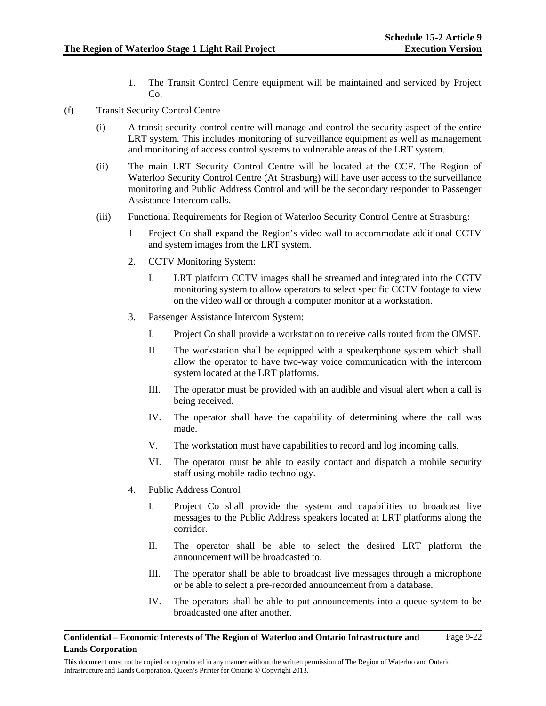- 1. The Transit Control Centre equipment will be maintained and serviced by Project Co.
- (f) Transit Security Control Centre
	- (i) A transit security control centre will manage and control the security aspect of the entire LRT system. This includes monitoring of surveillance equipment as well as management and monitoring of access control systems to vulnerable areas of the LRT system.
	- (ii) The main LRT Security Control Centre will be located at the CCF. The Region of Waterloo Security Control Centre (At Strasburg) will have user access to the surveillance monitoring and Public Address Control and will be the secondary responder to Passenger Assistance Intercom calls.
	- (iii) Functional Requirements for Region of Waterloo Security Control Centre at Strasburg:
		- 1 Project Co shall expand the Region's video wall to accommodate additional CCTV and system images from the LRT system.
		- 2. CCTV Monitoring System:
			- I. LRT platform CCTV images shall be streamed and integrated into the CCTV monitoring system to allow operators to select specific CCTV footage to view on the video wall or through a computer monitor at a workstation.
		- 3. Passenger Assistance Intercom System:
			- I. Project Co shall provide a workstation to receive calls routed from the OMSF.
			- II. The workstation shall be equipped with a speakerphone system which shall allow the operator to have two-way voice communication with the intercom system located at the LRT platforms.
			- III. The operator must be provided with an audible and visual alert when a call is being received.
			- IV. The operator shall have the capability of determining where the call was made.
			- V. The workstation must have capabilities to record and log incoming calls.
			- VI. The operator must be able to easily contact and dispatch a mobile security staff using mobile radio technology.
		- 4. Public Address Control
			- I. Project Co shall provide the system and capabilities to broadcast live messages to the Public Address speakers located at LRT platforms along the corridor.
			- II. The operator shall be able to select the desired LRT platform the announcement will be broadcasted to.
			- III. The operator shall be able to broadcast live messages through a microphone or be able to select a pre-recorded announcement from a database.
			- IV. The operators shall be able to put announcements into a queue system to be broadcasted one after another.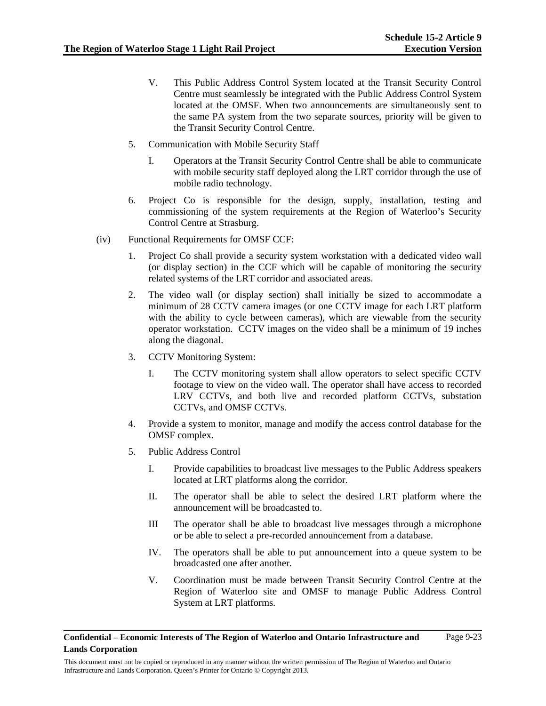- V. This Public Address Control System located at the Transit Security Control Centre must seamlessly be integrated with the Public Address Control System located at the OMSF. When two announcements are simultaneously sent to the same PA system from the two separate sources, priority will be given to the Transit Security Control Centre.
- 5. Communication with Mobile Security Staff
	- I. Operators at the Transit Security Control Centre shall be able to communicate with mobile security staff deployed along the LRT corridor through the use of mobile radio technology.
- 6. Project Co is responsible for the design, supply, installation, testing and commissioning of the system requirements at the Region of Waterloo's Security Control Centre at Strasburg.
- (iv) Functional Requirements for OMSF CCF:
	- 1. Project Co shall provide a security system workstation with a dedicated video wall (or display section) in the CCF which will be capable of monitoring the security related systems of the LRT corridor and associated areas.
	- 2. The video wall (or display section) shall initially be sized to accommodate a minimum of 28 CCTV camera images (or one CCTV image for each LRT platform with the ability to cycle between cameras), which are viewable from the security operator workstation. CCTV images on the video shall be a minimum of 19 inches along the diagonal.
	- 3. CCTV Monitoring System:
		- I. The CCTV monitoring system shall allow operators to select specific CCTV footage to view on the video wall. The operator shall have access to recorded LRV CCTVs, and both live and recorded platform CCTVs, substation CCTVs, and OMSF CCTVs.
	- 4. Provide a system to monitor, manage and modify the access control database for the OMSF complex.
	- 5. Public Address Control
		- I. Provide capabilities to broadcast live messages to the Public Address speakers located at LRT platforms along the corridor.
		- II. The operator shall be able to select the desired LRT platform where the announcement will be broadcasted to.
		- III The operator shall be able to broadcast live messages through a microphone or be able to select a pre-recorded announcement from a database.
		- IV. The operators shall be able to put announcement into a queue system to be broadcasted one after another.
		- V. Coordination must be made between Transit Security Control Centre at the Region of Waterloo site and OMSF to manage Public Address Control System at LRT platforms.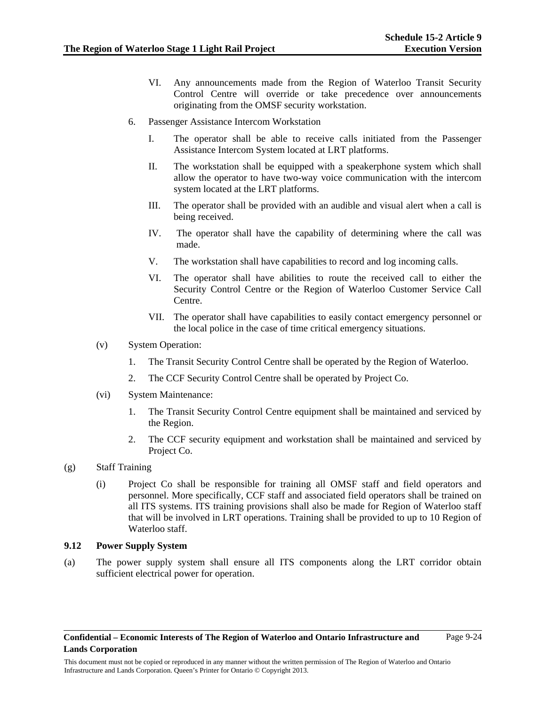Page 9-24

- VI. Any announcements made from the Region of Waterloo Transit Security Control Centre will override or take precedence over announcements originating from the OMSF security workstation.
- 6. Passenger Assistance Intercom Workstation
	- I. The operator shall be able to receive calls initiated from the Passenger Assistance Intercom System located at LRT platforms.
	- II. The workstation shall be equipped with a speakerphone system which shall allow the operator to have two-way voice communication with the intercom system located at the LRT platforms.
	- III. The operator shall be provided with an audible and visual alert when a call is being received.
	- IV. The operator shall have the capability of determining where the call was made.
	- V. The workstation shall have capabilities to record and log incoming calls.
	- VI. The operator shall have abilities to route the received call to either the Security Control Centre or the Region of Waterloo Customer Service Call Centre.
	- VII. The operator shall have capabilities to easily contact emergency personnel or the local police in the case of time critical emergency situations.
- (v) System Operation:
	- 1. The Transit Security Control Centre shall be operated by the Region of Waterloo.
	- 2. The CCF Security Control Centre shall be operated by Project Co.
- (vi) System Maintenance:
	- 1. The Transit Security Control Centre equipment shall be maintained and serviced by the Region.
	- 2. The CCF security equipment and workstation shall be maintained and serviced by Project Co.
- (g) Staff Training
	- (i) Project Co shall be responsible for training all OMSF staff and field operators and personnel. More specifically, CCF staff and associated field operators shall be trained on all ITS systems. ITS training provisions shall also be made for Region of Waterloo staff that will be involved in LRT operations. Training shall be provided to up to 10 Region of Waterloo staff.

# **9.12 Power Supply System**

(a) The power supply system shall ensure all ITS components along the LRT corridor obtain sufficient electrical power for operation.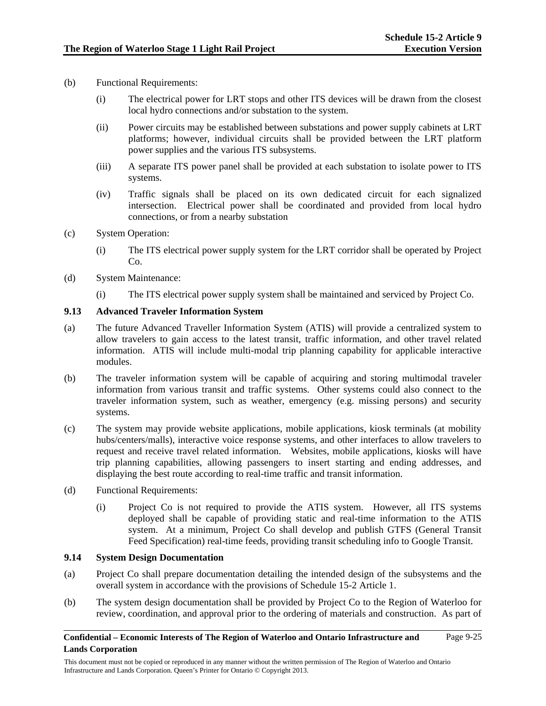- (b) Functional Requirements:
	- (i) The electrical power for LRT stops and other ITS devices will be drawn from the closest local hydro connections and/or substation to the system.
	- (ii) Power circuits may be established between substations and power supply cabinets at LRT platforms; however, individual circuits shall be provided between the LRT platform power supplies and the various ITS subsystems.
	- (iii) A separate ITS power panel shall be provided at each substation to isolate power to ITS systems.
	- (iv) Traffic signals shall be placed on its own dedicated circuit for each signalized intersection. Electrical power shall be coordinated and provided from local hydro connections, or from a nearby substation
- (c) System Operation:
	- (i) The ITS electrical power supply system for the LRT corridor shall be operated by Project Co.
- (d) System Maintenance:
	- (i) The ITS electrical power supply system shall be maintained and serviced by Project Co.

# **9.13 Advanced Traveler Information System**

- (a) The future Advanced Traveller Information System (ATIS) will provide a centralized system to allow travelers to gain access to the latest transit, traffic information, and other travel related information. ATIS will include multi-modal trip planning capability for applicable interactive modules.
- (b) The traveler information system will be capable of acquiring and storing multimodal traveler information from various transit and traffic systems. Other systems could also connect to the traveler information system, such as weather, emergency (e.g. missing persons) and security systems.
- (c) The system may provide website applications, mobile applications, kiosk terminals (at mobility hubs/centers/malls), interactive voice response systems, and other interfaces to allow travelers to request and receive travel related information. Websites, mobile applications, kiosks will have trip planning capabilities, allowing passengers to insert starting and ending addresses, and displaying the best route according to real-time traffic and transit information.
- (d) Functional Requirements:
	- (i) Project Co is not required to provide the ATIS system. However, all ITS systems deployed shall be capable of providing static and real-time information to the ATIS system. At a minimum, Project Co shall develop and publish GTFS (General Transit Feed Specification) real-time feeds, providing transit scheduling info to Google Transit.

# **9.14 System Design Documentation**

- (a) Project Co shall prepare documentation detailing the intended design of the subsystems and the overall system in accordance with the provisions of Schedule 15-2 Article 1.
- (b) The system design documentation shall be provided by Project Co to the Region of Waterloo for review, coordination, and approval prior to the ordering of materials and construction. As part of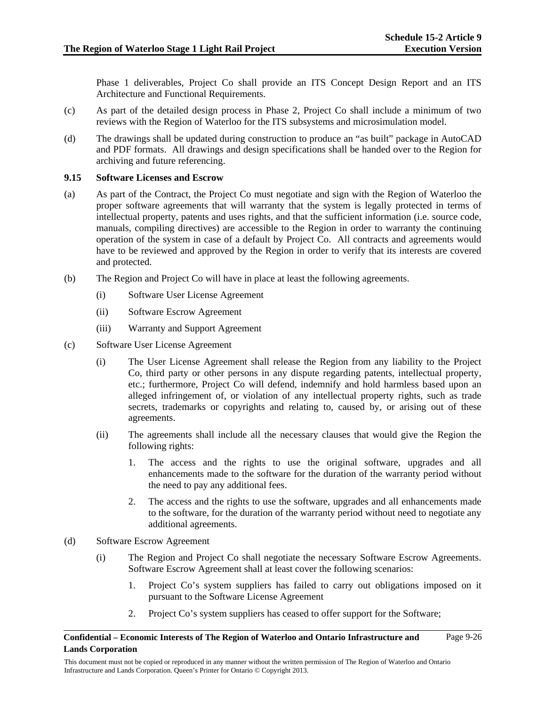Phase 1 deliverables, Project Co shall provide an ITS Concept Design Report and an ITS Architecture and Functional Requirements.

- (c) As part of the detailed design process in Phase 2, Project Co shall include a minimum of two reviews with the Region of Waterloo for the ITS subsystems and microsimulation model.
- (d) The drawings shall be updated during construction to produce an "as built" package in AutoCAD and PDF formats. All drawings and design specifications shall be handed over to the Region for archiving and future referencing.

### **9.15 Software Licenses and Escrow**

- (a) As part of the Contract, the Project Co must negotiate and sign with the Region of Waterloo the proper software agreements that will warranty that the system is legally protected in terms of intellectual property, patents and uses rights, and that the sufficient information (i.e. source code, manuals, compiling directives) are accessible to the Region in order to warranty the continuing operation of the system in case of a default by Project Co. All contracts and agreements would have to be reviewed and approved by the Region in order to verify that its interests are covered and protected.
- (b) The Region and Project Co will have in place at least the following agreements.
	- (i) Software User License Agreement
	- (ii) Software Escrow Agreement
	- (iii) Warranty and Support Agreement
- (c) Software User License Agreement
	- (i) The User License Agreement shall release the Region from any liability to the Project Co, third party or other persons in any dispute regarding patents, intellectual property, etc.; furthermore, Project Co will defend, indemnify and hold harmless based upon an alleged infringement of, or violation of any intellectual property rights, such as trade secrets, trademarks or copyrights and relating to, caused by, or arising out of these agreements.
	- (ii) The agreements shall include all the necessary clauses that would give the Region the following rights:
		- 1. The access and the rights to use the original software, upgrades and all enhancements made to the software for the duration of the warranty period without the need to pay any additional fees.
		- 2. The access and the rights to use the software, upgrades and all enhancements made to the software, for the duration of the warranty period without need to negotiate any additional agreements.
- (d) Software Escrow Agreement
	- (i) The Region and Project Co shall negotiate the necessary Software Escrow Agreements. Software Escrow Agreement shall at least cover the following scenarios:
		- 1. Project Co's system suppliers has failed to carry out obligations imposed on it pursuant to the Software License Agreement
		- 2. Project Co's system suppliers has ceased to offer support for the Software;